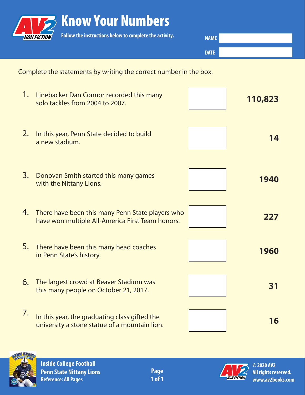|    | <b>Know Your Numbers</b>                                                                             |             |         |
|----|------------------------------------------------------------------------------------------------------|-------------|---------|
|    | Follow the instructions below to complete the activity.                                              | <b>NAME</b> |         |
|    |                                                                                                      | <b>DATE</b> |         |
|    | Complete the statements by writing the correct number in the box.                                    |             |         |
| 1. | Linebacker Dan Connor recorded this many<br>solo tackles from 2004 to 2007.                          |             | 110,823 |
| 2. | In this year, Penn State decided to build<br>a new stadium.                                          |             | 14      |
| 3. | Donovan Smith started this many games<br>with the Nittany Lions.                                     |             | 1940    |
| 4. | There have been this many Penn State players who<br>have won multiple All-America First Team honors. |             | 227     |
| 5. | There have been this many head coaches<br>in Penn State's history.                                   |             | 1960    |
| 6. | The largest crowd at Beaver Stadium was<br>this many people on October 21, 2017.                     |             | 31      |
| 7. | In this year, the graduating class gifted the<br>university a stone statue of a mountain lion.       |             | 16      |



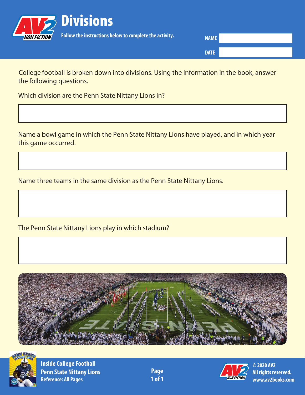

**NAME**

**DATE**

College football is broken down into divisions. Using the information in the book, answer the following questions.

Which division are the Penn State Nittany Lions in?

Name a bowl game in which the Penn State Nittany Lions have played, and in which year this game occurred.

Name three teams in the same division as the Penn State Nittany Lions.

The Penn State Nittany Lions play in which stadium?





**Inside College Football Penn State Nittany Lions Page Reference: All Pages 1 of 1** 

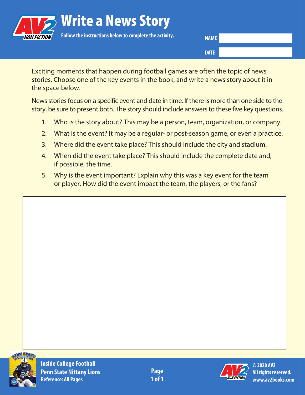

**NAME**

**DATE**

Exciting moments that happen during football games are often the topic of news stories. Choose one of the key events in the book, and write a news story about it in the space below.

News stories focus on a specific event and date in time. If there is more than one side to the story, be sure to present both. The story should include answers to these five key questions.

- 1. Who is the story about? This may be a person, team, organization, or company.
- 2. What is the event? It may be a regular- or post-season game, or even a practice.
- 3. Where did the event take place? This should include the city and stadium.
- 4. When did the event take place? This should include the complete date and, if possible, the time.
- 5. Why is the event important? Explain why this was a key event for the team or player. How did the event impact the team, the players, or the fans?



**Inside College Football Penn State Nittany Lions Reference: All Pages**

**Page 1 of 1**

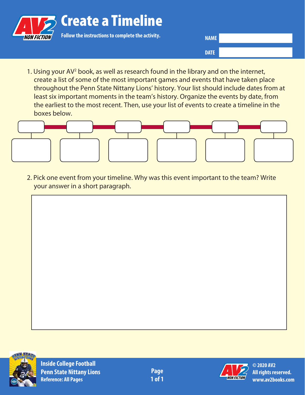

**NAME**

**DATE**

1. Using your AV<sup>2</sup> book, as well as research found in the library and on the internet, create a list of some of the most important games and events that have taken place throughout the Penn State Nittany Lions' history. Your list should include dates from at least six important moments in the team's history. Organize the events by date, from the earliest to the most recent. Then, use your list of events to create a timeline in the boxes below.



2. Pick one event from your timeline. Why was this event important to the team? Write your answer in a short paragraph.



**Inside College Football Penn State Nittany Lions Reference: All Pages**

**Page 1 of 1**

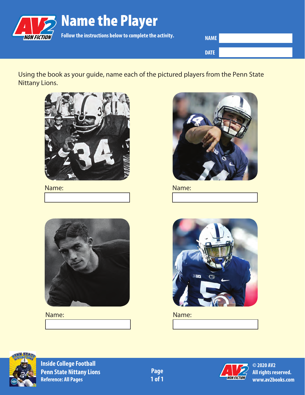

**NAME DATE**

Using the book as your guide, name each of the pictured players from the Penn State Nittany Lions.



## Name:



Name:



## Name: Name:





**Inside College Football Penn State Nittany Lions Page**<br> **Reference: All Pages Page Page Page Page Page Page Page Page Page Page Page Page Page Page Page Page Page Page Page Page Page Page Page Pa Reference: All Pages** 

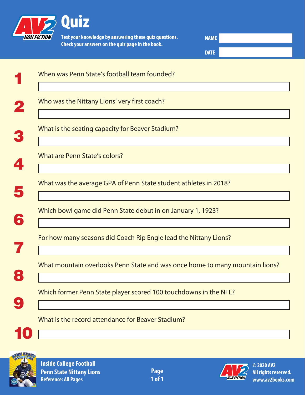

**Test your knowledge by answering these quiz questions. Check your answers on the quiz page in the book.**

**NAME DATE**

|                          | When was Penn State's football team founded?                                 |
|--------------------------|------------------------------------------------------------------------------|
| $\mathbf{z}$             | Who was the Nittany Lions' very first coach?                                 |
|                          | What is the seating capacity for Beaver Stadium?                             |
| $\blacktriangleleft$     | What are Penn State's colors?                                                |
| 5                        | What was the average GPA of Penn State student athletes in 2018?             |
| 6                        | Which bowl game did Penn State debut in on January 1, 1923?                  |
|                          | For how many seasons did Coach Rip Engle lead the Nittany Lions?             |
| $\ddot{\bullet}$         | What mountain overlooks Penn State and was once home to many mountain lions? |
| $\overline{\mathcal{L}}$ | Which former Penn State player scored 100 touchdowns in the NFL?             |
|                          | What is the record attendance for Beaver Stadium?                            |
| 10                       |                                                                              |



**Inside College Football Penn State Nittany Lions Reference: All Pages**

**Page 1 of 1**